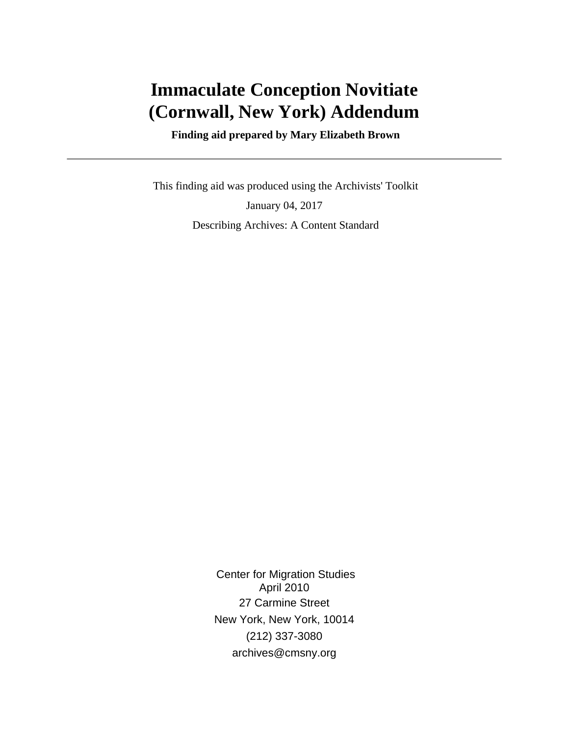# **Immaculate Conception Novitiate (Cornwall, New York) Addendum**

 **Finding aid prepared by Mary Elizabeth Brown**

 This finding aid was produced using the Archivists' Toolkit January 04, 2017 Describing Archives: A Content Standard

> Center for Migration Studies April 2010 27 Carmine Street New York, New York, 10014 (212) 337-3080 archives@cmsny.org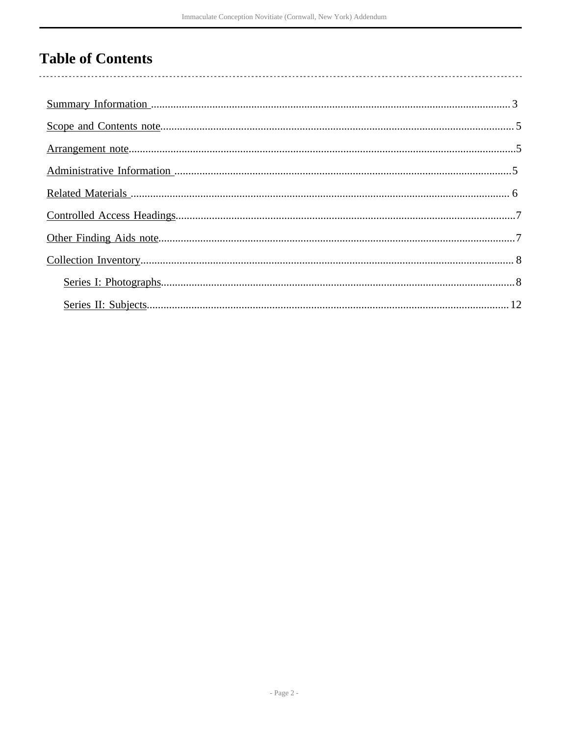# **Table of Contents**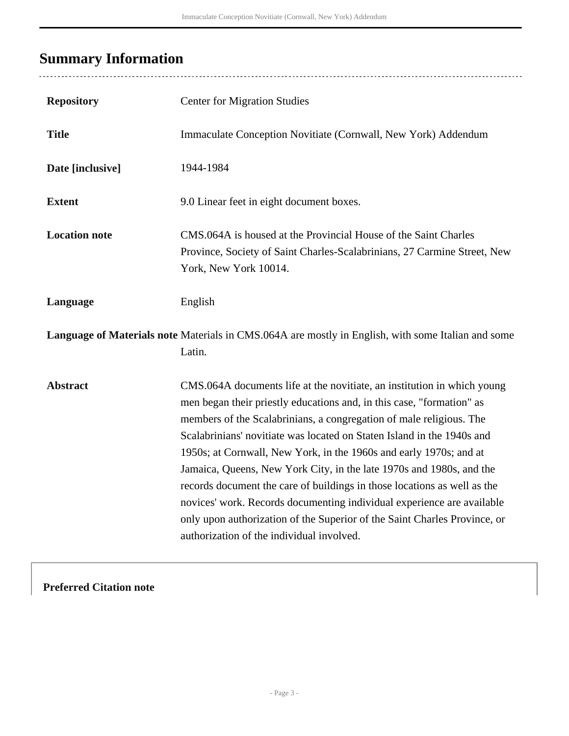# <span id="page-2-0"></span>**Summary Information**

| <b>Repository</b>    | <b>Center for Migration Studies</b>                                                                                                                                                                                                                                                                                                                                                                                                                                                                                                                                                                                                                                                                                             |
|----------------------|---------------------------------------------------------------------------------------------------------------------------------------------------------------------------------------------------------------------------------------------------------------------------------------------------------------------------------------------------------------------------------------------------------------------------------------------------------------------------------------------------------------------------------------------------------------------------------------------------------------------------------------------------------------------------------------------------------------------------------|
| <b>Title</b>         | Immaculate Conception Novitiate (Cornwall, New York) Addendum                                                                                                                                                                                                                                                                                                                                                                                                                                                                                                                                                                                                                                                                   |
| Date [inclusive]     | 1944-1984                                                                                                                                                                                                                                                                                                                                                                                                                                                                                                                                                                                                                                                                                                                       |
| <b>Extent</b>        | 9.0 Linear feet in eight document boxes.                                                                                                                                                                                                                                                                                                                                                                                                                                                                                                                                                                                                                                                                                        |
| <b>Location note</b> | CMS.064A is housed at the Provincial House of the Saint Charles<br>Province, Society of Saint Charles-Scalabrinians, 27 Carmine Street, New<br>York, New York 10014.                                                                                                                                                                                                                                                                                                                                                                                                                                                                                                                                                            |
| Language             | English                                                                                                                                                                                                                                                                                                                                                                                                                                                                                                                                                                                                                                                                                                                         |
|                      | Language of Materials note Materials in CMS.064A are mostly in English, with some Italian and some<br>Latin.                                                                                                                                                                                                                                                                                                                                                                                                                                                                                                                                                                                                                    |
| <b>Abstract</b>      | CMS.064A documents life at the novitiate, an institution in which young<br>men began their priestly educations and, in this case, "formation" as<br>members of the Scalabrinians, a congregation of male religious. The<br>Scalabrinians' novitiate was located on Staten Island in the 1940s and<br>1950s; at Cornwall, New York, in the 1960s and early 1970s; and at<br>Jamaica, Queens, New York City, in the late 1970s and 1980s, and the<br>records document the care of buildings in those locations as well as the<br>novices' work. Records documenting individual experience are available<br>only upon authorization of the Superior of the Saint Charles Province, or<br>authorization of the individual involved. |

**Preferred Citation note**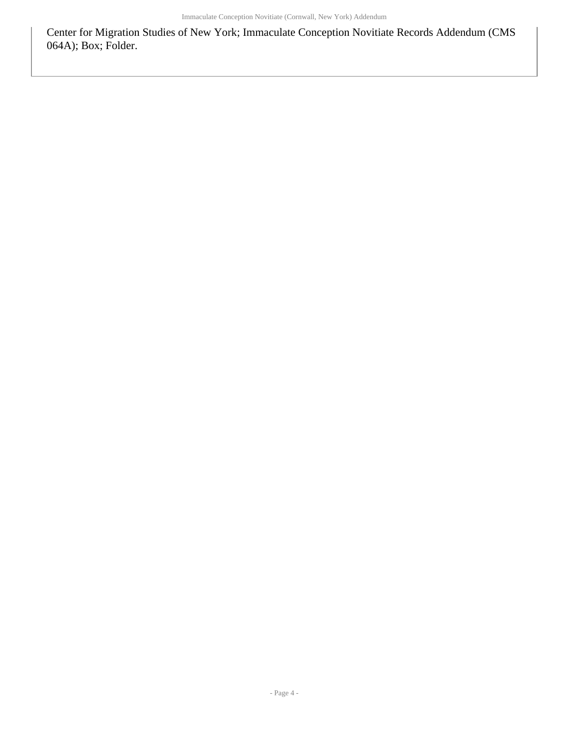Center for Migration Studies of New York; Immaculate Conception Novitiate Records Addendum (CMS 064A); Box; Folder.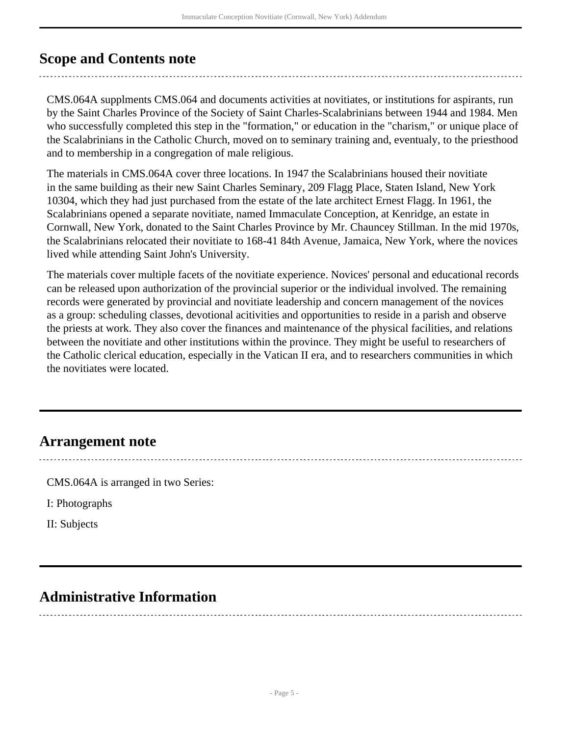# <span id="page-4-0"></span>**Scope and Contents note**

CMS.064A supplments CMS.064 and documents activities at novitiates, or institutions for aspirants, run by the Saint Charles Province of the Society of Saint Charles-Scalabrinians between 1944 and 1984. Men who successfully completed this step in the "formation," or education in the "charism," or unique place of the Scalabrinians in the Catholic Church, moved on to seminary training and, eventualy, to the priesthood and to membership in a congregation of male religious.

The materials in CMS.064A cover three locations. In 1947 the Scalabrinians housed their novitiate in the same building as their new Saint Charles Seminary, 209 Flagg Place, Staten Island, New York 10304, which they had just purchased from the estate of the late architect Ernest Flagg. In 1961, the Scalabrinians opened a separate novitiate, named Immaculate Conception, at Kenridge, an estate in Cornwall, New York, donated to the Saint Charles Province by Mr. Chauncey Stillman. In the mid 1970s, the Scalabrinians relocated their novitiate to 168-41 84th Avenue, Jamaica, New York, where the novices lived while attending Saint John's University.

The materials cover multiple facets of the novitiate experience. Novices' personal and educational records can be released upon authorization of the provincial superior or the individual involved. The remaining records were generated by provincial and novitiate leadership and concern management of the novices as a group: scheduling classes, devotional acitivities and opportunities to reside in a parish and observe the priests at work. They also cover the finances and maintenance of the physical facilities, and relations between the novitiate and other institutions within the province. They might be useful to researchers of the Catholic clerical education, especially in the Vatican II era, and to researchers communities in which the novitiates were located.

# <span id="page-4-1"></span>**Arrangement note**

CMS.064A is arranged in two Series:

I: Photographs

II: Subjects

# <span id="page-4-2"></span>**Administrative Information**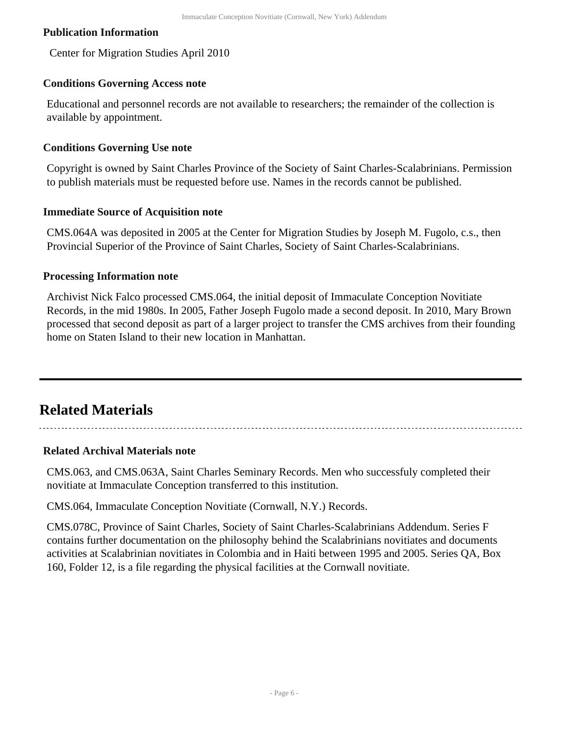### **Publication Information**

Center for Migration Studies April 2010

#### **Conditions Governing Access note**

Educational and personnel records are not available to researchers; the remainder of the collection is available by appointment.

#### **Conditions Governing Use note**

Copyright is owned by Saint Charles Province of the Society of Saint Charles-Scalabrinians. Permission to publish materials must be requested before use. Names in the records cannot be published.

#### **Immediate Source of Acquisition note**

CMS.064A was deposited in 2005 at the Center for Migration Studies by Joseph M. Fugolo, c.s., then Provincial Superior of the Province of Saint Charles, Society of Saint Charles-Scalabrinians.

#### **Processing Information note**

Archivist Nick Falco processed CMS.064, the initial deposit of Immaculate Conception Novitiate Records, in the mid 1980s. In 2005, Father Joseph Fugolo made a second deposit. In 2010, Mary Brown processed that second deposit as part of a larger project to transfer the CMS archives from their founding home on Staten Island to their new location in Manhattan.

# <span id="page-5-0"></span>**Related Materials**

### **Related Archival Materials note**

CMS.063, and CMS.063A, Saint Charles Seminary Records. Men who successfuly completed their novitiate at Immaculate Conception transferred to this institution.

CMS.064, Immaculate Conception Novitiate (Cornwall, N.Y.) Records.

CMS.078C, Province of Saint Charles, Society of Saint Charles-Scalabrinians Addendum. Series F contains further documentation on the philosophy behind the Scalabrinians novitiates and documents activities at Scalabrinian novitiates in Colombia and in Haiti between 1995 and 2005. Series QA, Box 160, Folder 12, is a file regarding the physical facilities at the Cornwall novitiate.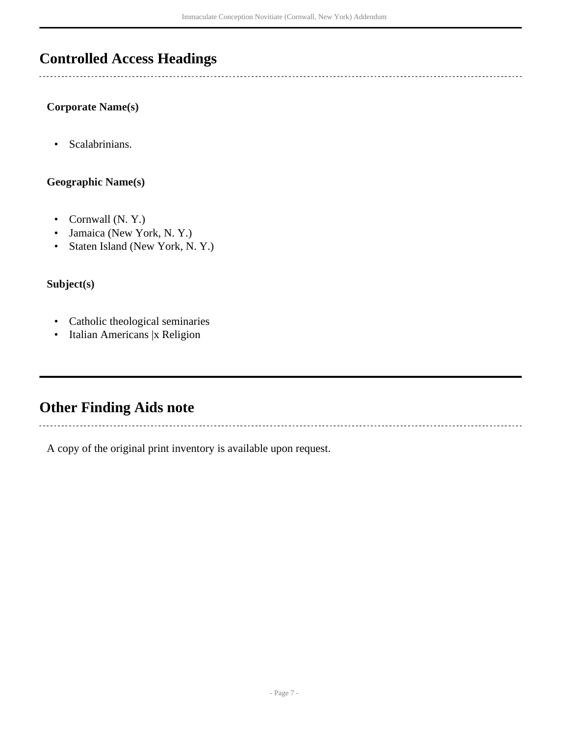# <span id="page-6-0"></span>**Controlled Access Headings**

### **Corporate Name(s)**

• Scalabrinians.

## **Geographic Name(s)**

- Cornwall (N. Y.)
- Jamaica (New York, N. Y.)
- Staten Island (New York, N. Y.)

## **Subject(s)**

- Catholic theological seminaries
- Italian Americans | x Religion

# <span id="page-6-1"></span>**Other Finding Aids note**

A copy of the original print inventory is available upon request.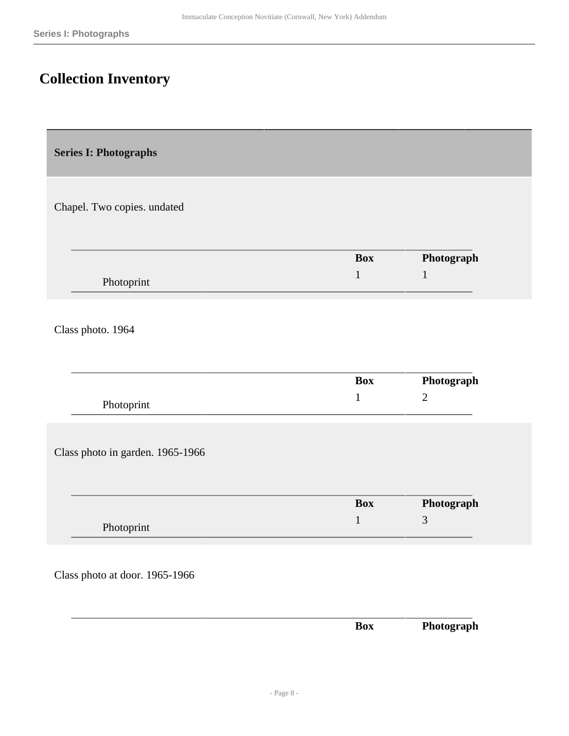# <span id="page-7-0"></span>**Collection Inventory**

<span id="page-7-1"></span>**Series I: Photographs** 

Chapel. Two copies. undated

|            | Box | Photograph |
|------------|-----|------------|
| Photoprint |     |            |

Class photo. 1964

|                                  | <b>Box</b> | Photograph     |
|----------------------------------|------------|----------------|
| Photoprint                       | 1          | $\overline{2}$ |
|                                  |            |                |
|                                  |            |                |
| Class photo in garden. 1965-1966 |            |                |
|                                  |            |                |
|                                  | <b>Box</b> | Photograph     |

Class photo at door. 1965-1966

|  | вох<br>__ | Dhataa.<br>ww.<br>чин<br>$\blacksquare$<br>- |
|--|-----------|----------------------------------------------|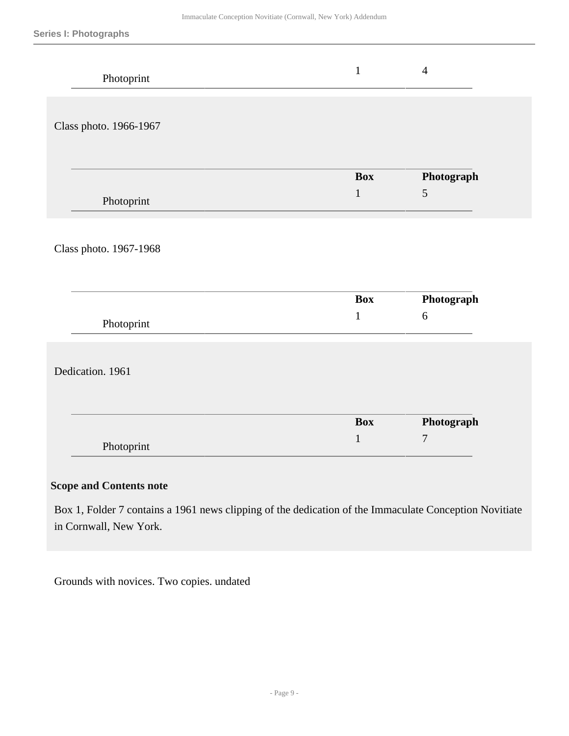| Photoprint             | $\mathbf{1}$               | $\overline{4}$                 |
|------------------------|----------------------------|--------------------------------|
| Class photo. 1966-1967 |                            |                                |
| Photoprint             | <b>Box</b><br>$\mathbf{1}$ | Photograph<br>$\sqrt{5}$       |
| Class photo. 1967-1968 |                            |                                |
| Photoprint             | <b>Box</b><br>$\mathbf 1$  | Photograph<br>$6\,$            |
| Dedication. 1961       |                            |                                |
| Photoprint             | <b>Box</b><br>$\mathbf{1}$ | Photograph<br>$\boldsymbol{7}$ |

### **Scope and Contents note**

Box 1, Folder 7 contains a 1961 news clipping of the dedication of the Immaculate Conception Novitiate in Cornwall, New York.

Grounds with novices. Two copies. undated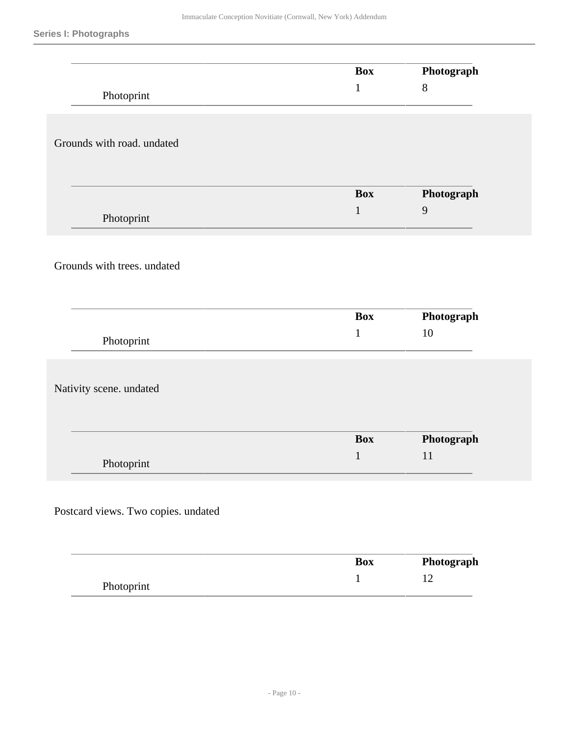|                                     | <b>Box</b>   | Photograph     |
|-------------------------------------|--------------|----------------|
|                                     | $\mathbf{1}$ | $8\,$          |
| Photoprint                          |              |                |
|                                     |              |                |
|                                     |              |                |
| Grounds with road. undated          |              |                |
|                                     |              |                |
|                                     | <b>Box</b>   | Photograph     |
|                                     | $\mathbf{1}$ | $\overline{9}$ |
| Photoprint                          |              |                |
|                                     |              |                |
|                                     |              |                |
| Grounds with trees. undated         |              |                |
|                                     |              |                |
|                                     | <b>Box</b>   | Photograph     |
|                                     | $\mathbf{1}$ | 10             |
| Photoprint                          |              |                |
|                                     |              |                |
|                                     |              |                |
| Nativity scene. undated             |              |                |
|                                     |              |                |
|                                     | <b>Box</b>   | Photograph     |
|                                     | $\mathbf 1$  | 11             |
| Photoprint                          |              |                |
|                                     |              |                |
| Postcard views. Two copies. undated |              |                |
|                                     |              |                |
|                                     |              |                |
|                                     | <b>Box</b>   | Photograph     |
|                                     |              |                |
| Photoprint                          | $\,1\,$      | $12\,$         |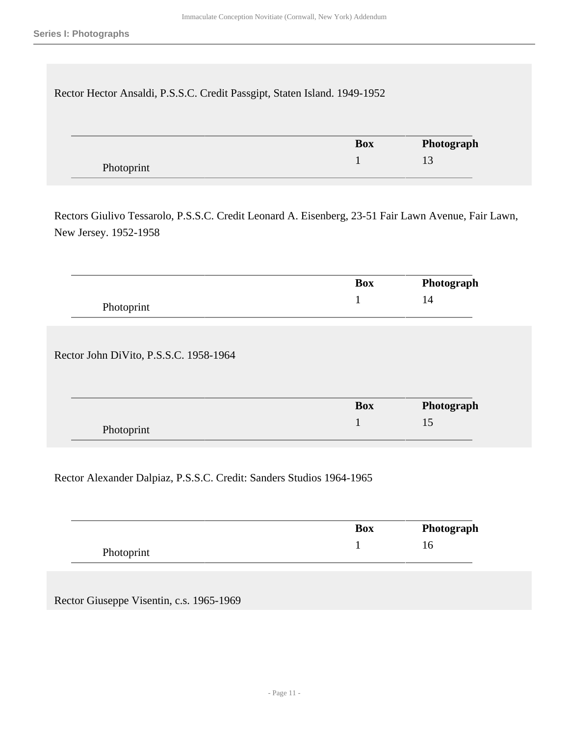Rector Hector Ansaldi, P.S.S.C. Credit Passgipt, Staten Island. 1949-1952

|            | <b>Box</b> | Photograph |
|------------|------------|------------|
| Photoprint |            |            |

Rectors Giulivo Tessarolo, P.S.S.C. Credit Leonard A. Eisenberg, 23-51 Fair Lawn Avenue, Fair Lawn, New Jersey. 1952-1958

|                                        | <b>Box</b> | Photograph |
|----------------------------------------|------------|------------|
| Photoprint                             |            | 14         |
|                                        |            |            |
|                                        |            |            |
|                                        |            |            |
| Rector John DiVito, P.S.S.C. 1958-1964 |            |            |
|                                        |            |            |
|                                        | <b>Box</b> | Photograph |

Rector Alexander Dalpiaz, P.S.S.C. Credit: Sanders Studios 1964-1965

|            | <b>Box</b> | Photograph |
|------------|------------|------------|
| Photoprint |            |            |

Rector Giuseppe Visentin, c.s. 1965-1969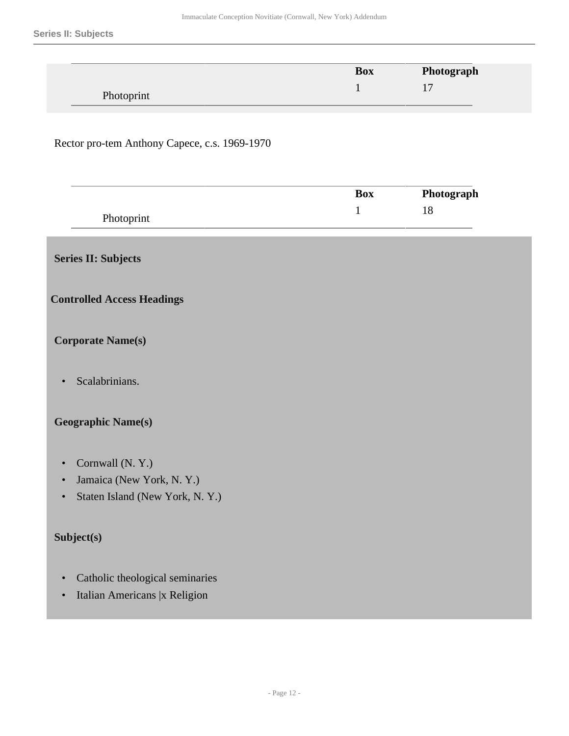|            | <b>Box</b> | Photograph |
|------------|------------|------------|
| Photoprint |            |            |

#### Rector pro-tem Anthony Capece, c.s. 1969-1970

|     | Box | Photograph |
|-----|-----|------------|
| Dh7 |     |            |

## <span id="page-11-0"></span>**Series II: Subjects**

#### **Controlled Access Headings**

### **Corporate Name(s)**

• Scalabrinians.

### **Geographic Name(s)**

- Cornwall (N. Y.)
- Jamaica (New York, N. Y.)
- Staten Island (New York, N. Y.)

### **Subject(s)**

- Catholic theological seminaries
- Italian Americans |x Religion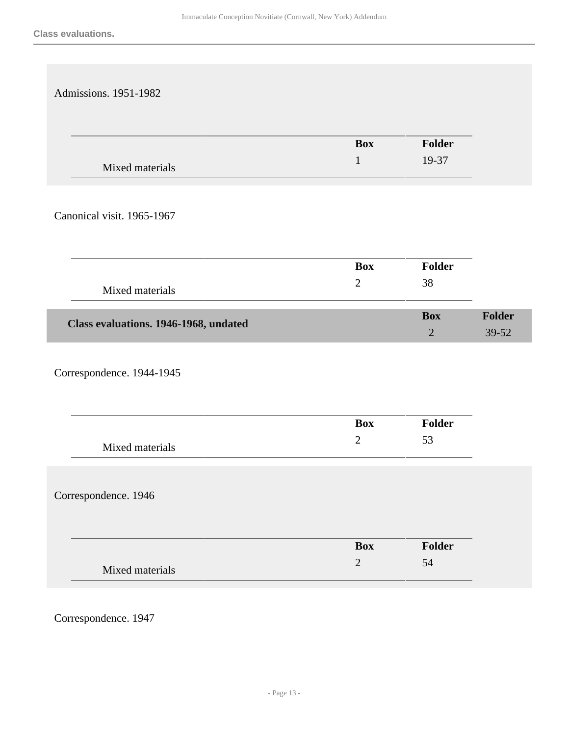| Admissions. 1951-1982                 |                |                          |                        |
|---------------------------------------|----------------|--------------------------|------------------------|
|                                       | <b>Box</b>     | <b>Folder</b>            |                        |
| Mixed materials                       | $\mathbf{1}$   | 19-37                    |                        |
|                                       |                |                          |                        |
| Canonical visit. 1965-1967            |                |                          |                        |
|                                       | <b>Box</b>     | <b>Folder</b>            |                        |
|                                       | $\overline{2}$ | 38                       |                        |
| Mixed materials                       |                |                          |                        |
| Class evaluations. 1946-1968, undated |                | <b>Box</b><br>$\sqrt{2}$ | <b>Folder</b><br>39-52 |
| Correspondence. 1944-1945             |                |                          |                        |
|                                       | <b>Box</b>     | Folder                   |                        |
|                                       |                |                          |                        |
| Mixed materials                       | $\mathbf{2}$   | 53                       |                        |
| Correspondence. 1946                  |                |                          |                        |
|                                       | <b>Box</b>     | Folder                   |                        |

Correspondence. 1947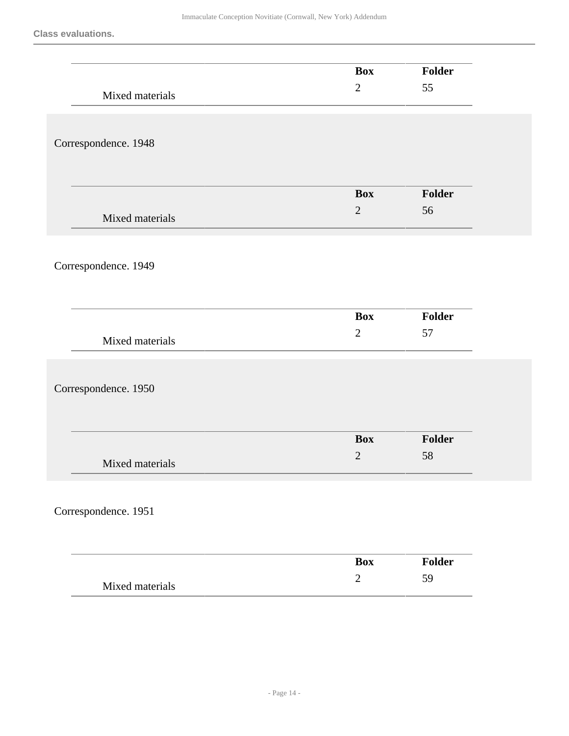**Class evaluations.**

|                                         | <b>Box</b>     | Folder |
|-----------------------------------------|----------------|--------|
| Mixed materials                         | $\mathbf{2}$   | 55     |
|                                         |                |        |
|                                         |                |        |
| Correspondence. 1948                    |                |        |
|                                         |                |        |
|                                         |                |        |
|                                         | <b>Box</b>     | Folder |
|                                         | $\overline{2}$ | 56     |
| Mixed materials                         |                |        |
|                                         |                |        |
| Correspondence. 1949                    |                |        |
|                                         |                |        |
|                                         |                |        |
|                                         | <b>Box</b>     | Folder |
|                                         | $\mathbf{2}$   | 57     |
| Mixed materials                         |                |        |
|                                         |                |        |
| Correspondence. 1950                    |                |        |
|                                         |                |        |
|                                         |                |        |
|                                         | <b>Box</b>     | Folder |
|                                         |                |        |
|                                         | $\mathbf{2}$   | 58     |
| Mixed materials                         |                |        |
|                                         |                |        |
|                                         |                |        |
|                                         |                |        |
|                                         |                |        |
|                                         | <b>Box</b>     | Folder |
| Correspondence. 1951<br>Mixed materials | $\mathbf{2}$   | 59     |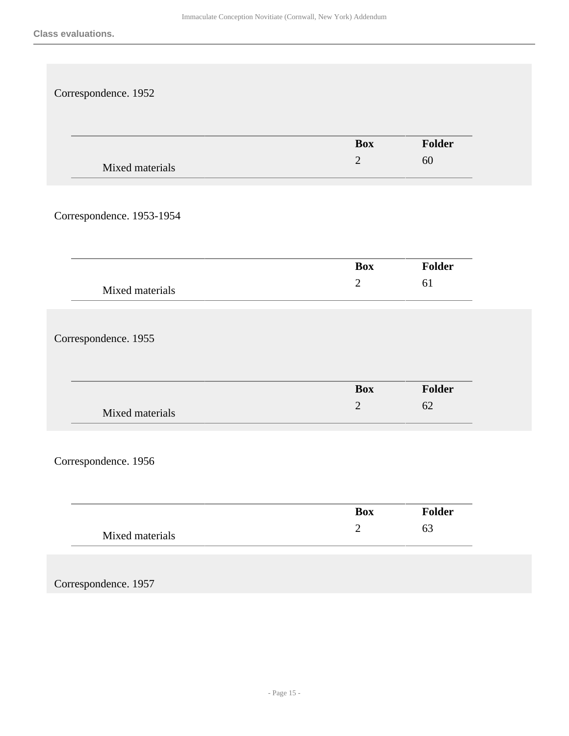| <b>Box</b><br>$\sqrt{2}$ | Folder<br>60 |
|--------------------------|--------------|
|                          |              |
| <b>Box</b>               | Folder       |
| $\mathbf{2}$             | 61           |
|                          |              |
| <b>Box</b><br>$\sqrt{2}$ | Folder<br>62 |
|                          |              |
| <b>Box</b>               | Folder       |
| $\sqrt{2}$               | 63           |
|                          |              |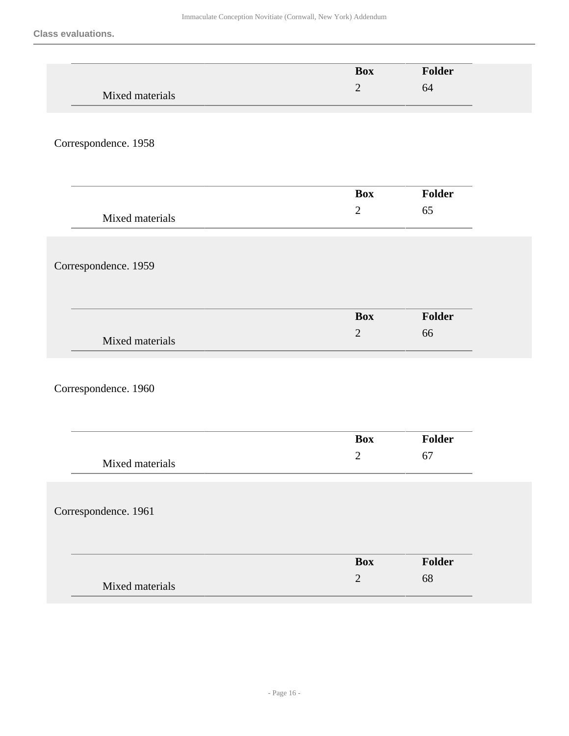|                      | <b>Box</b>     | Folder |
|----------------------|----------------|--------|
| Mixed materials      | $\overline{2}$ | 64     |
|                      |                |        |
| Correspondence. 1958 |                |        |
|                      |                |        |
|                      | <b>Box</b>     | Folder |
|                      | $\sqrt{2}$     | 65     |
| Mixed materials      |                |        |
|                      |                |        |
| Correspondence. 1959 |                |        |
|                      |                |        |
|                      | <b>Box</b>     | Folder |
|                      | $\sqrt{2}$     | 66     |
| Mixed materials      |                |        |
|                      |                |        |
| Correspondence. 1960 |                |        |
|                      |                |        |
|                      | <b>Box</b>     | Folder |
|                      | $\sqrt{2}$     | 67     |
| Mixed materials      |                |        |
|                      |                |        |
| Correspondence. 1961 |                |        |
|                      |                |        |
|                      | <b>Box</b>     | Folder |
| Mixed materials      | $\sqrt{2}$     | 68     |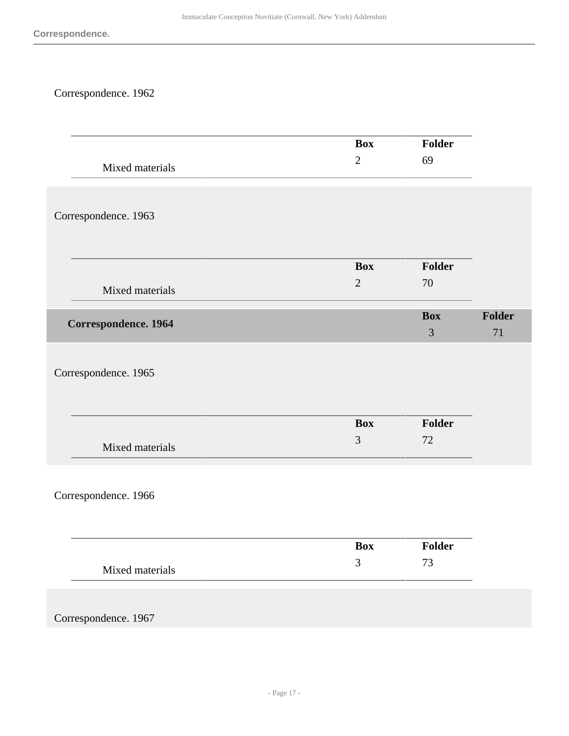# Correspondence. 1962

|                      | <b>Box</b>     | Folder     |        |
|----------------------|----------------|------------|--------|
| Mixed materials      | $\overline{2}$ | 69         |        |
|                      |                |            |        |
| Correspondence. 1963 |                |            |        |
|                      |                |            |        |
|                      |                |            |        |
|                      | <b>Box</b>     | Folder     |        |
| Mixed materials      | $\overline{2}$ | 70         |        |
| Correspondence. 1964 |                | <b>Box</b> | Folder |
|                      |                | 3          | 71     |
|                      |                |            |        |
| Correspondence. 1965 |                |            |        |
|                      |                |            |        |
|                      | <b>Box</b>     | Folder     |        |
|                      | $\mathfrak{Z}$ | 72         |        |
| Mixed materials      |                |            |        |
|                      |                |            |        |
| Correspondence. 1966 |                |            |        |
|                      |                |            |        |
|                      |                |            |        |
|                      | Box            | Folder     |        |
| Mixed materials      | $\mathfrak{Z}$ | $73\,$     |        |
|                      |                |            |        |
|                      |                |            |        |
| Correspondence. 1967 |                |            |        |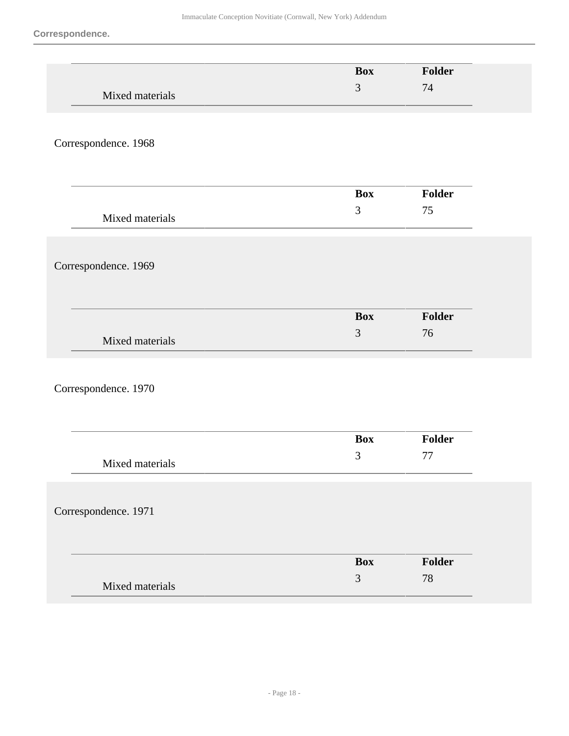|                      | <b>Box</b>                   | Folder       |
|----------------------|------------------------------|--------------|
| Mixed materials      | 3                            | 74           |
|                      |                              |              |
| Correspondence. 1968 |                              |              |
|                      |                              |              |
|                      |                              |              |
|                      | <b>Box</b>                   | Folder       |
| Mixed materials      | 3                            | 75           |
|                      |                              |              |
| Correspondence. 1969 |                              |              |
|                      |                              |              |
|                      |                              |              |
|                      | <b>Box</b>                   | Folder       |
| Mixed materials      | $\mathfrak{Z}$               | 76           |
|                      |                              |              |
| Correspondence. 1970 |                              |              |
|                      |                              |              |
|                      |                              |              |
|                      | <b>Box</b><br>$\mathfrak{Z}$ | Folder<br>77 |
| Mixed materials      |                              |              |
|                      |                              |              |
| Correspondence. 1971 |                              |              |
|                      |                              |              |
|                      | <b>Box</b>                   | Folder       |
|                      | 3                            | $78\,$       |
| Mixed materials      |                              |              |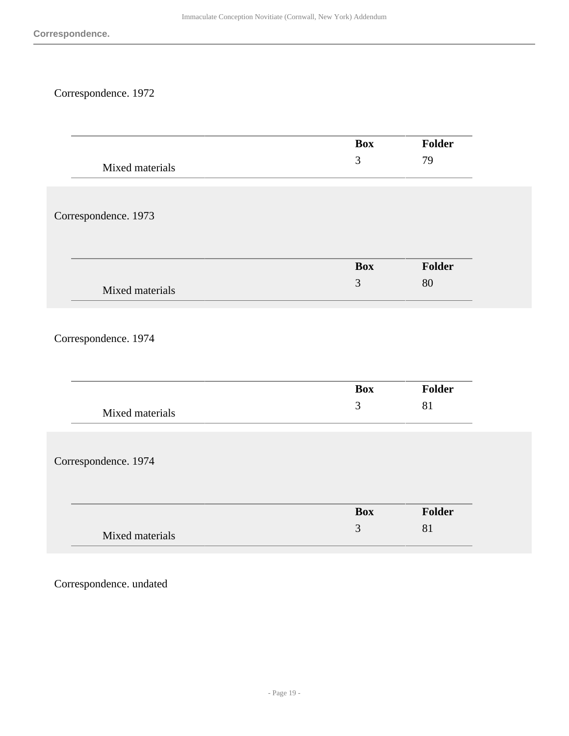# Correspondence. 1972

|                      | <b>Box</b> | <b>Folder</b> |
|----------------------|------------|---------------|
| Mixed materials      | 3          | 79            |
|                      |            |               |
|                      |            |               |
|                      |            |               |
| Correspondence. 1973 |            |               |
|                      |            |               |
|                      |            |               |
|                      | <b>Box</b> | Folder        |
| Mixed materials      | 3          | 80            |
|                      |            |               |
|                      |            |               |
| Correspondence. 1974 |            |               |
|                      |            |               |
|                      |            |               |
|                      | Box        | <b>Folder</b> |
|                      | 3          | 81            |
| Mixed materials      |            |               |
|                      |            |               |
|                      |            |               |
| Correspondence. 1974 |            |               |
|                      |            |               |
|                      |            |               |
|                      | <b>Box</b> | Folder        |
|                      | 3          | 81            |
| Mixed materials      |            |               |
|                      |            |               |

Correspondence. undated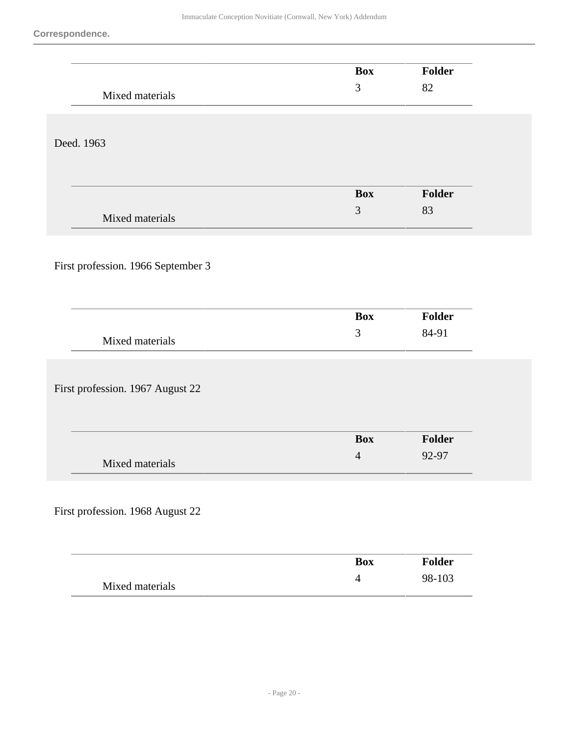|                                    | <b>Box</b>     | Folder |
|------------------------------------|----------------|--------|
| Mixed materials                    | $\mathfrak{Z}$ | 82     |
|                                    |                |        |
|                                    |                |        |
| Deed. 1963                         |                |        |
|                                    |                |        |
|                                    |                |        |
|                                    | <b>Box</b>     | Folder |
|                                    | $\mathfrak{Z}$ | 83     |
| Mixed materials                    |                |        |
|                                    |                |        |
|                                    |                |        |
| First profession. 1966 September 3 |                |        |
|                                    |                |        |
|                                    |                |        |
|                                    | <b>Box</b>     | Folder |
| Mixed materials                    | $\mathfrak{Z}$ | 84-91  |
|                                    |                |        |
|                                    |                |        |
| First profession. 1967 August 22   |                |        |
|                                    |                |        |
|                                    |                |        |
|                                    | <b>Box</b>     | Folder |
|                                    | $\overline{4}$ | 92-97  |
| Mixed materials                    |                |        |
|                                    |                |        |
|                                    |                |        |
| First profession. 1968 August 22   |                |        |
|                                    |                |        |
|                                    |                |        |
|                                    | <b>Box</b>     | Folder |
| Mixed materials                    | $\overline{4}$ | 98-103 |
|                                    |                |        |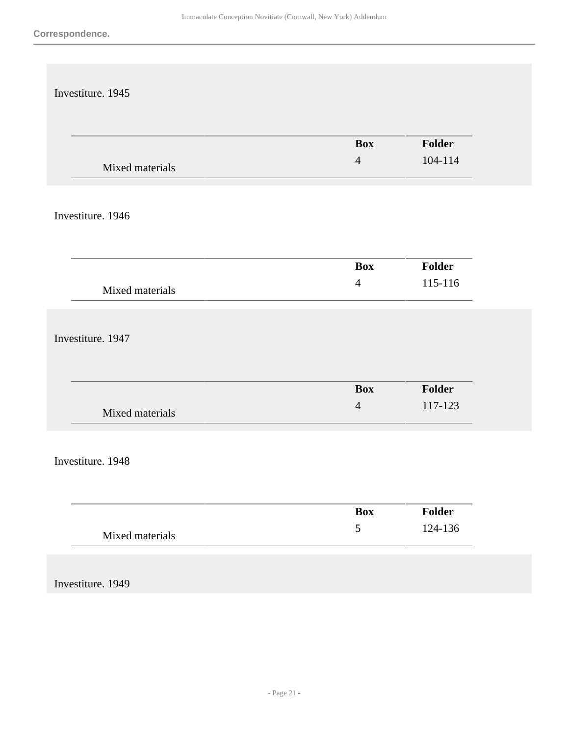| Investiture. 1945 |                             |                   |
|-------------------|-----------------------------|-------------------|
|                   |                             |                   |
|                   | <b>Box</b>                  | Folder            |
| Mixed materials   | $\overline{4}$              | 104-114           |
|                   |                             |                   |
| Investiture. 1946 |                             |                   |
|                   |                             |                   |
|                   | <b>Box</b>                  | Folder            |
| Mixed materials   | $\overline{4}$              | 115-116           |
|                   |                             |                   |
| Investiture. 1947 |                             |                   |
|                   |                             |                   |
|                   | <b>Box</b>                  | Folder            |
|                   | $\overline{4}$              | 117-123           |
| Mixed materials   |                             |                   |
|                   |                             |                   |
| Investiture. 1948 |                             |                   |
|                   |                             |                   |
|                   | <b>Box</b><br>$\mathfrak s$ | Folder<br>124-136 |
| Mixed materials   |                             |                   |
|                   |                             |                   |
| Investiture. 1949 |                             |                   |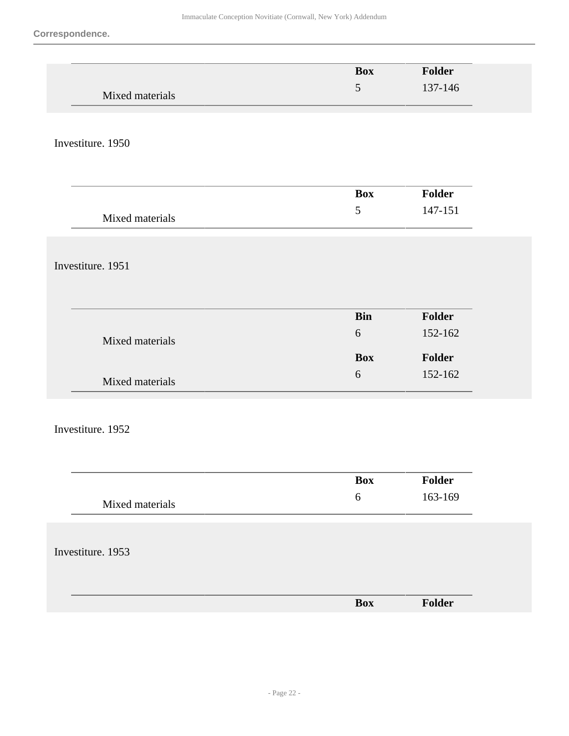|                   | <b>Box</b>       | Folder  |
|-------------------|------------------|---------|
| Mixed materials   | $\mathfrak s$    | 137-146 |
|                   |                  |         |
|                   |                  |         |
| Investiture. 1950 |                  |         |
|                   |                  |         |
|                   | <b>Box</b>       | Folder  |
|                   | $\mathfrak{S}$   | 147-151 |
| Mixed materials   |                  |         |
|                   |                  |         |
| Investiture. 1951 |                  |         |
|                   |                  |         |
|                   |                  |         |
|                   | <b>Bin</b><br>6  | Folder  |
| Mixed materials   |                  | 152-162 |
|                   | <b>Box</b>       | Folder  |
| Mixed materials   | $\boldsymbol{6}$ | 152-162 |
|                   |                  |         |
| Investiture. 1952 |                  |         |
|                   |                  |         |
|                   |                  |         |
|                   | <b>Box</b>       | Folder  |
| Mixed materials   | $\sqrt{6}$       | 163-169 |
|                   |                  |         |
|                   |                  |         |
| Investiture. 1953 |                  |         |
|                   |                  |         |
|                   |                  |         |

**Box Folder**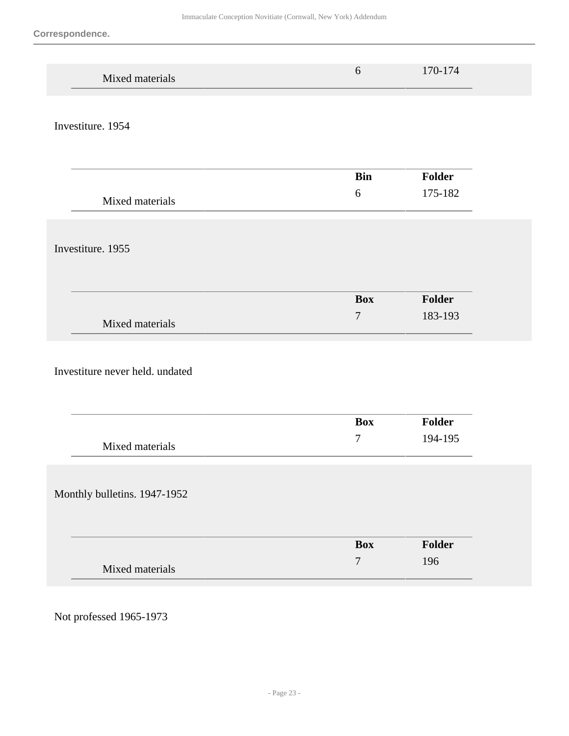| Mixed materials                 | 6                | 170-174       |  |
|---------------------------------|------------------|---------------|--|
| Investiture. 1954               |                  |               |  |
|                                 | <b>Bin</b>       | <b>Folder</b> |  |
| Mixed materials                 | $6\,$            | 175-182       |  |
| Investiture. 1955               |                  |               |  |
|                                 | <b>Box</b>       | Folder        |  |
| Mixed materials                 | $\boldsymbol{7}$ | 183-193       |  |
| Investiture never held. undated |                  |               |  |
|                                 | <b>Box</b>       | <b>Folder</b> |  |
| Mixed materials                 | $\boldsymbol{7}$ | 194-195       |  |
| Monthly bulletins. 1947-1952    |                  |               |  |
|                                 | <b>Box</b>       | Folder        |  |
| Mixed materials                 | $\boldsymbol{7}$ | 196           |  |

Not professed 1965-1973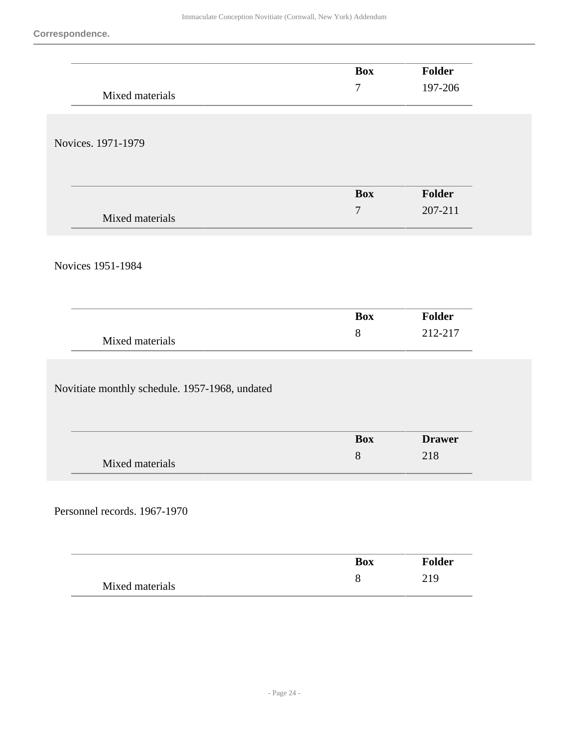|                                                | <b>Box</b>       | Folder        |
|------------------------------------------------|------------------|---------------|
|                                                | $\boldsymbol{7}$ | 197-206       |
| Mixed materials                                |                  |               |
|                                                |                  |               |
| Novices. 1971-1979                             |                  |               |
|                                                |                  |               |
|                                                |                  |               |
|                                                | <b>Box</b>       | <b>Folder</b> |
| Mixed materials                                | $\boldsymbol{7}$ | 207-211       |
|                                                |                  |               |
|                                                |                  |               |
| Novices 1951-1984                              |                  |               |
|                                                |                  |               |
|                                                | <b>Box</b>       | Folder        |
|                                                | 8                | 212-217       |
| Mixed materials                                |                  |               |
|                                                |                  |               |
| Novitiate monthly schedule. 1957-1968, undated |                  |               |
|                                                |                  |               |
|                                                |                  |               |
|                                                | <b>Box</b>       | <b>Drawer</b> |
| Mixed materials                                | 8                | 218           |
|                                                |                  |               |
|                                                |                  |               |
| Personnel records. 1967-1970                   |                  |               |
|                                                |                  |               |
|                                                | <b>Box</b>       | Folder        |
|                                                | $8\,$            | 219           |
| Mixed materials                                |                  |               |